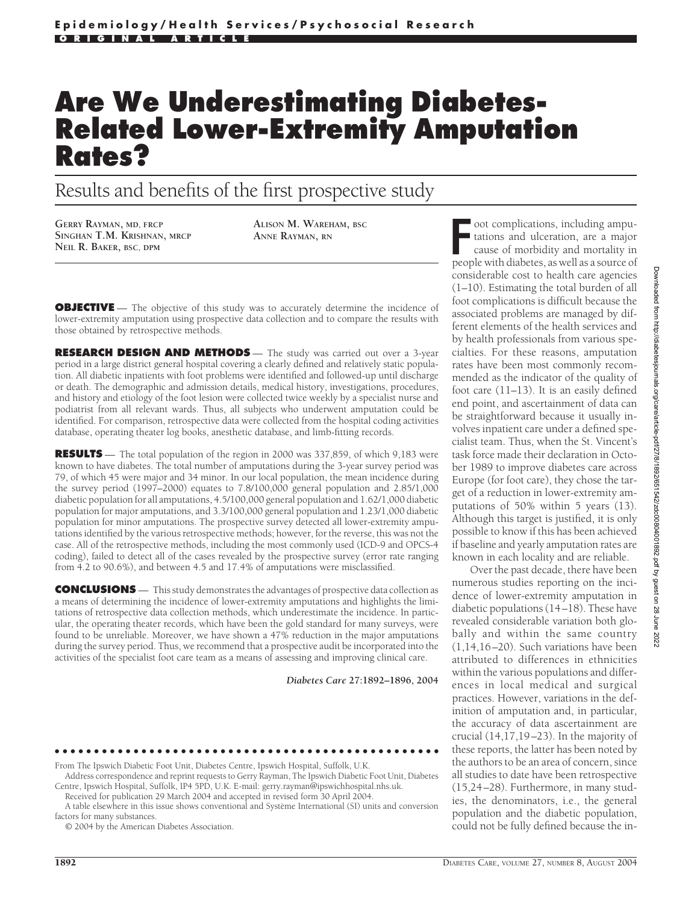# **Are We Underestimating Diabetes-Related Lower-Extremity Amputation Rates?**

Results and benefits of the first prospective study

**GERRY RAYMAN, MD, FRCP SINGHAN T.M. KRISHNAN, MRCP NEIL R. BAKER, BSC, DPM**

**ALISON M. WAREHAM, BSC ANNE RAYMAN, RN**

**OBJECTIVE** — The objective of this study was to accurately determine the incidence of lower-extremity amputation using prospective data collection and to compare the results with those obtained by retrospective methods.

**RESEARCH DESIGN AND METHODS** - The study was carried out over a 3-year period in a large district general hospital covering a clearly defined and relatively static population. All diabetic inpatients with foot problems were identified and followed-up until discharge or death. The demographic and admission details, medical history, investigations, procedures, and history and etiology of the foot lesion were collected twice weekly by a specialist nurse and podiatrist from all relevant wards. Thus, all subjects who underwent amputation could be identified. For comparison, retrospective data were collected from the hospital coding activities database, operating theater log books, anesthetic database, and limb-fitting records.

**RESULTS** — The total population of the region in 2000 was 337,859, of which 9,183 were known to have diabetes. The total number of amputations during the 3-year survey period was 79, of which 45 were major and 34 minor. In our local population, the mean incidence during the survey period (1997–2000) equates to 7.8/100,000 general population and 2.85/1,000 diabetic population for all amputations, 4.5/100,000 general population and 1.62/1,000 diabetic population for major amputations, and 3.3/100,000 general population and 1.23/1,000 diabetic population for minor amputations. The prospective survey detected all lower-extremity amputations identified by the various retrospective methods; however, for the reverse, this was not the case. All of the retrospective methods, including the most commonly used (ICD-9 and OPCS-4 coding), failed to detect all of the cases revealed by the prospective survey (error rate ranging from 4.2 to 90.6%), and between 4.5 and 17.4% of amputations were misclassified.

**CONCLUSIONS** — This study demonstrates the advantages of prospective data collection as a means of determining the incidence of lower-extremity amputations and highlights the limitations of retrospective data collection methods, which underestimate the incidence. In particular, the operating theater records, which have been the gold standard for many surveys, were found to be unreliable. Moreover, we have shown a 47% reduction in the major amputations during the survey period. Thus, we recommend that a prospective audit be incorporated into the activities of the specialist foot care team as a means of assessing and improving clinical care.

*Diabetes Care* **27:1892–1896, 2004**

From The Ipswich Diabetic Foot Unit, Diabetes Centre, Ipswich Hospital, Suffolk, U.K.

Address correspondence and reprint requests to Gerry Rayman, The Ipswich Diabetic Foot Unit, Diabetes Centre, Ipswich Hospital, Suffolk, IP4 5PD, U.K. E-mail: gerry.rayman@ipswichhospital.nhs.uk. Received for publication 29 March 2004 and accepted in revised form 30 April 2004.

●●●●●●●●●●●●●●●●●●●●●●●●●●●●●●●●●●●●●●●●●●●●●●●●●

A table elsewhere in this issue shows conventional and Système International (SI) units and conversion factors for many substances.

© 2004 by the American Diabetes Association.

**FR** oot complications, including amputations and ulceration, are a major cause of morbidity and mortality in people with diabetes, as well as a source of oot complications, including amputations and ulceration, are a major cause of morbidity and mortality in considerable cost to health care agencies (1–10). Estimating the total burden of all foot complications is difficult because the associated problems are managed by different elements of the health services and by health professionals from various specialties. For these reasons, amputation rates have been most commonly recommended as the indicator of the quality of foot care (11–13). It is an easily defined end point, and ascertainment of data can be straightforward because it usually involves inpatient care under a defined specialist team. Thus, when the St. Vincent's task force made their declaration in October 1989 to improve diabetes care across Europe (for foot care), they chose the target of a reduction in lower-extremity amputations of 50% within 5 years (13). Although this target is justified, it is only possible to know if this has been achieved if baseline and yearly amputation rates are known in each locality and are reliable.

Over the past decade, there have been numerous studies reporting on the incidence of lower-extremity amputation in diabetic populations (14–18). These have revealed considerable variation both globally and within the same country (1,14,16–20). Such variations have been attributed to differences in ethnicities within the various populations and differences in local medical and surgical practices. However, variations in the definition of amputation and, in particular, the accuracy of data ascertainment are crucial (14,17,19–23). In the majority of these reports, the latter has been noted by the authors to be an area of concern, since all studies to date have been retrospective (15,24–28). Furthermore, in many studies, the denominators, i.e., the general population and the diabetic population, could not be fully defined because the in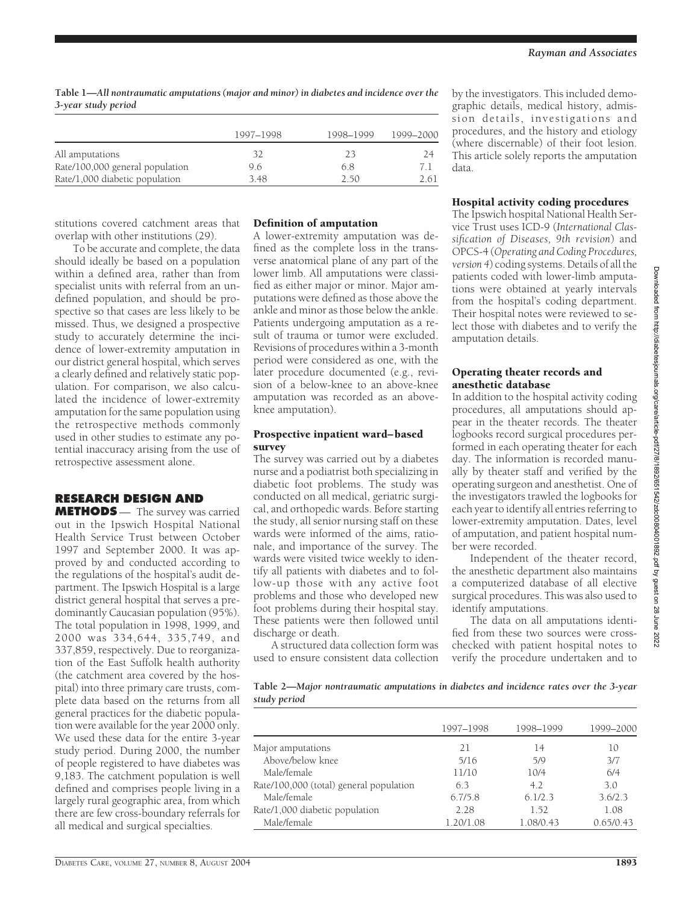**Table 1—***All nontraumatic amputations (major and minor) in diabetes and incidence over the 3-year study period*

|                                 | 1997–1998 | 1998–1999 | 1999–2000 |
|---------------------------------|-----------|-----------|-----------|
| All amputations                 | 32        | 23        | 24        |
| Rate/100,000 general population | 9.6       | 6.8       | 71        |
| Rate/1,000 diabetic population  | 3.48      | 2.50      | 2.61      |

stitutions covered catchment areas that overlap with other institutions (29).

To be accurate and complete, the data should ideally be based on a population within a defined area, rather than from specialist units with referral from an undefined population, and should be prospective so that cases are less likely to be missed. Thus, we designed a prospective study to accurately determine the incidence of lower-extremity amputation in our district general hospital, which serves a clearly defined and relatively static population. For comparison, we also calculated the incidence of lower-extremity amputation for the same population using the retrospective methods commonly used in other studies to estimate any potential inaccuracy arising from the use of retrospective assessment alone.

# **RESEARCH DESIGN AND**

**METHODS** — The survey was carried out in the Ipswich Hospital National Health Service Trust between October 1997 and September 2000. It was approved by and conducted according to the regulations of the hospital's audit department. The Ipswich Hospital is a large district general hospital that serves a predominantly Caucasian population (95%). The total population in 1998, 1999, and 2000 was 334,644, 335,749, and 337,859, respectively. Due to reorganization of the East Suffolk health authority (the catchment area covered by the hospital) into three primary care trusts, complete data based on the returns from all general practices for the diabetic population were available for the year 2000 only. We used these data for the entire 3-year study period. During 2000, the number of people registered to have diabetes was 9,183. The catchment population is well defined and comprises people living in a largely rural geographic area, from which there are few cross-boundary referrals for all medical and surgical specialties.

## Definition of amputation

A lower-extremity amputation was defined as the complete loss in the transverse anatomical plane of any part of the lower limb. All amputations were classified as either major or minor. Major amputations were defined as those above the ankle and minor as those below the ankle. Patients undergoing amputation as a result of trauma or tumor were excluded. Revisions of procedures within a 3-month period were considered as one, with the later procedure documented (e.g., revision of a below-knee to an above-knee amputation was recorded as an aboveknee amputation).

#### Prospective inpatient ward–based survey

The survey was carried out by a diabetes nurse and a podiatrist both specializing in diabetic foot problems. The study was conducted on all medical, geriatric surgical, and orthopedic wards. Before starting the study, all senior nursing staff on these wards were informed of the aims, rationale, and importance of the survey. The wards were visited twice weekly to identify all patients with diabetes and to follow-up those with any active foot problems and those who developed new foot problems during their hospital stay. These patients were then followed until discharge or death.

A structured data collection form was used to ensure consistent data collection by the investigators. This included demographic details, medical history, admission details, investigations and procedures, and the history and etiology (where discernable) of their foot lesion. This article solely reports the amputation data.

## Hospital activity coding procedures

The Ipswich hospital National Health Service Trust uses ICD-9 (*International Classification of Diseases, 9th revision*) and OPCS-4 (*Operating and Coding Procedures, version 4*) coding systems. Details of all the patients coded with lower-limb amputations were obtained at yearly intervals from the hospital's coding department. Their hospital notes were reviewed to select those with diabetes and to verify the amputation details.

## Operating theater records and anesthetic database

In addition to the hospital activity coding procedures, all amputations should appear in the theater records. The theater logbooks record surgical procedures performed in each operating theater for each day. The information is recorded manually by theater staff and verified by the operating surgeon and anesthetist. One of the investigators trawled the logbooks for each year to identify all entries referring to lower-extremity amputation. Dates, level of amputation, and patient hospital number were recorded.

Independent of the theater record, the anesthetic department also maintains a computerized database of all elective surgical procedures. This was also used to identify amputations.

The data on all amputations identified from these two sources were crosschecked with patient hospital notes to verify the procedure undertaken and to

| Table 2—Major nontraumatic amputations in diabetes and incidence rates over the 3-year |  |  |  |  |  |
|----------------------------------------------------------------------------------------|--|--|--|--|--|
| study period                                                                           |  |  |  |  |  |

|                                         | 1997-1998 | 1998-1999 | 1999-2000 |
|-----------------------------------------|-----------|-----------|-----------|
| Major amputations                       | 21        | 14        | 10        |
| Above/below knee                        | 5/16      | 5/9       | 3/7       |
| Male/female                             | 11/10     | 10/4      | 6/4       |
| Rate/100,000 (total) general population | 6.3       | 4.2       | 3.0       |
| Male/female                             | 6.7/5.8   | 6.1/2.3   | 3.6/2.3   |
| Rate/1,000 diabetic population          | 2.28      | 1.52      | 1.08      |
| Male/female                             | 1.20/1.08 | 1.08/0.43 | 0.65/0.43 |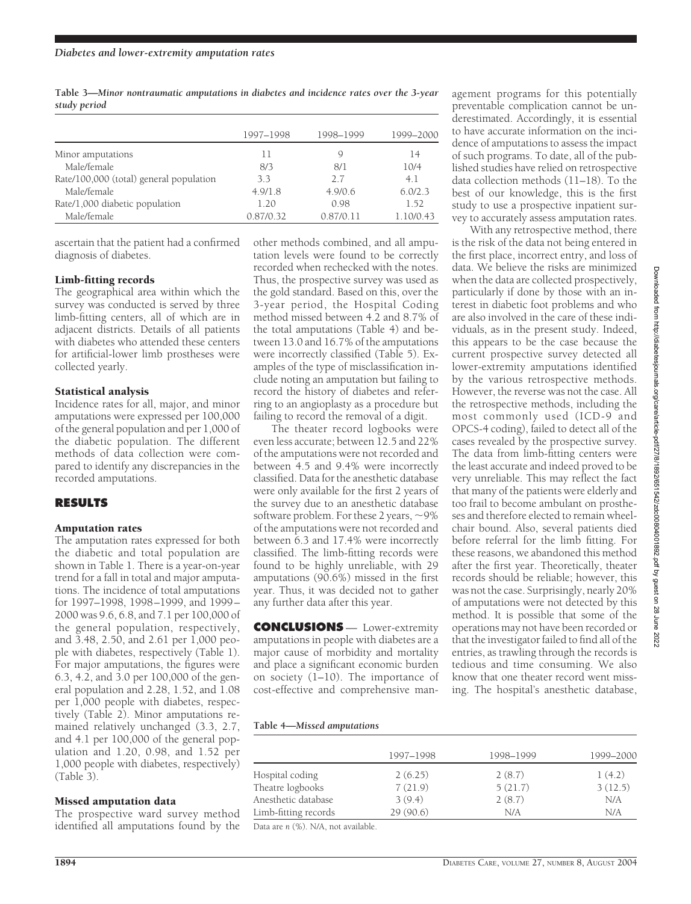| Table 3—Minor nontraumatic amputations in diabetes and incidence rates over the 3-year |  |  |  |  |  |
|----------------------------------------------------------------------------------------|--|--|--|--|--|
| study period                                                                           |  |  |  |  |  |

|                                         | 1997-1998 | 1998-1999 | 1999–2000 |
|-----------------------------------------|-----------|-----------|-----------|
| Minor amputations                       | 11        | O)        | 14        |
| Male/female                             | 8/3       | 8/1       | 10/4      |
| Rate/100,000 (total) general population | 3.3       | 27        | 4.1       |
| Male/female                             | 4.9/1.8   | 4.9/0.6   | 6.0/2.3   |
| Rate/1,000 diabetic population          | 1.20      | 0.98      | 1.52      |
| Male/female                             | 0.87/0.32 | 0.87/0.11 | 1.10/0.43 |

ascertain that the patient had a confirmed diagnosis of diabetes.

## Limb-fitting records

The geographical area within which the survey was conducted is served by three limb-fitting centers, all of which are in adjacent districts. Details of all patients with diabetes who attended these centers for artificial-lower limb prostheses were collected yearly.

## Statistical analysis

Incidence rates for all, major, and minor amputations were expressed per 100,000 of the general population and per 1,000 of the diabetic population. The different methods of data collection were compared to identify any discrepancies in the recorded amputations.

# **RESULTS**

## Amputation rates

The amputation rates expressed for both the diabetic and total population are shown in Table 1. There is a year-on-year trend for a fall in total and major amputations. The incidence of total amputations for 1997–1998, 1998–1999, and 1999– 2000 was 9.6, 6.8, and 7.1 per 100,000 of the general population, respectively, and 3.48, 2.50, and 2.61 per 1,000 people with diabetes, respectively (Table 1). For major amputations, the figures were 6.3, 4.2, and 3.0 per 100,000 of the general population and 2.28, 1.52, and 1.08 per 1,000 people with diabetes, respectively (Table 2). Minor amputations remained relatively unchanged (3.3, 2.7, and 4.1 per 100,000 of the general population and 1.20, 0.98, and 1.52 per 1,000 people with diabetes, respectively) (Table 3).

## Missed amputation data

The prospective ward survey method identified all amputations found by the other methods combined, and all amputation levels were found to be correctly recorded when rechecked with the notes. Thus, the prospective survey was used as the gold standard. Based on this, over the 3-year period, the Hospital Coding method missed between 4.2 and 8.7% of the total amputations (Table 4) and between 13.0 and 16.7% of the amputations were incorrectly classified (Table 5). Examples of the type of misclassification include noting an amputation but failing to record the history of diabetes and referring to an angioplasty as a procedure but failing to record the removal of a digit.

The theater record logbooks were even less accurate; between 12.5 and 22% of the amputations were not recorded and between 4.5 and 9.4% were incorrectly classified. Data for the anesthetic database were only available for the first 2 years of the survey due to an anesthetic database software problem. For these 2 years,  $\sim$ 9% of the amputations were not recorded and between 6.3 and 17.4% were incorrectly classified. The limb-fitting records were found to be highly unreliable, with 29 amputations (90.6%) missed in the first year. Thus, it was decided not to gather any further data after this year.

**CONCLUSIONS** — Lower-extremity amputations in people with diabetes are a major cause of morbidity and mortality and place a significant economic burden on society (1–10). The importance of cost-effective and comprehensive management programs for this potentially preventable complication cannot be underestimated. Accordingly, it is essential to have accurate information on the incidence of amputations to assess the impact of such programs. To date, all of the published studies have relied on retrospective data collection methods (11–18). To the best of our knowledge, this is the first study to use a prospective inpatient survey to accurately assess amputation rates.

With any retrospective method, there is the risk of the data not being entered in the first place, incorrect entry, and loss of data. We believe the risks are minimized when the data are collected prospectively, particularly if done by those with an interest in diabetic foot problems and who are also involved in the care of these individuals, as in the present study. Indeed, this appears to be the case because the current prospective survey detected all lower-extremity amputations identified by the various retrospective methods. However, the reverse was not the case. All the retrospective methods, including the most commonly used (ICD-9 and OPCS-4 coding), failed to detect all of the cases revealed by the prospective survey. The data from limb-fitting centers were the least accurate and indeed proved to be very unreliable. This may reflect the fact that many of the patients were elderly and too frail to become ambulant on prostheses and therefore elected to remain wheelchair bound. Also, several patients died before referral for the limb fitting. For these reasons, we abandoned this method after the first year. Theoretically, theater records should be reliable; however, this was not the case. Surprisingly, nearly 20% of amputations were not detected by this method. It is possible that some of the operations may not have been recorded or that the investigator failed to find all of the entries, as trawling through the records is tedious and time consuming. We also know that one theater record went missing. The hospital's anesthetic database,

## **Table 4—***Missed amputations*

|                                     | 1997-1998 | 1998-1999 | 1999-2000 |
|-------------------------------------|-----------|-----------|-----------|
| Hospital coding                     | 2(6.25)   | 2(8.7)    | 1(4.2)    |
| Theatre logbooks                    | 7(21.9)   | 5(21.7)   | 3(12.5)   |
| Anesthetic database                 | 3(9.4)    | 2(8.7)    | N/A       |
| Limb-fitting records                | 29(90.6)  | N/A       | N/A       |
| Data are n (%). N/A, not available. |           |           |           |

Downloaded from http://diabetesjournals.org/care/article-pdf/27/8/1892/651542/zdo00804001892.pdf by guest on 28 June 2022 Downloaded from http://diabetesjournals.org/care/article-pdf/27/8/1892/651542/zdc00804001892.pdf by guest on 28 June 2022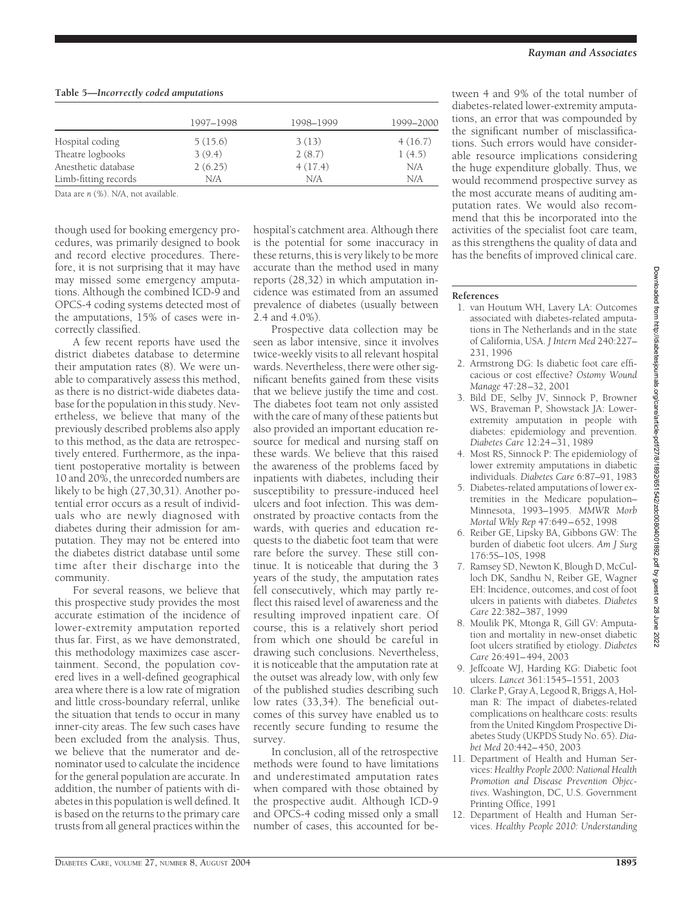## **Table 5—***Incorrectly coded amputations*

|                                         | 1997–1998         | 1998–1999       | 1999–2000         |
|-----------------------------------------|-------------------|-----------------|-------------------|
| Hospital coding                         | 5(15.6)<br>3(9.4) | 3(13)<br>2(8.7) | 4(16.7)<br>1(4.5) |
| Theatre logbooks<br>Anesthetic database | 2(6.25)           | 4(17.4)         | N/A               |
| Limb-fitting records                    | N/A               | N/A             | N/A               |

Data are *n* (%). N/A, not available.

though used for booking emergency procedures, was primarily designed to book and record elective procedures. Therefore, it is not surprising that it may have may missed some emergency amputations. Although the combined ICD-9 and OPCS-4 coding systems detected most of the amputations, 15% of cases were incorrectly classified.

A few recent reports have used the district diabetes database to determine their amputation rates (8). We were unable to comparatively assess this method, as there is no district-wide diabetes database for the population in this study. Nevertheless, we believe that many of the previously described problems also apply to this method, as the data are retrospectively entered. Furthermore, as the inpatient postoperative mortality is between 10 and 20%, the unrecorded numbers are likely to be high (27,30,31). Another potential error occurs as a result of individuals who are newly diagnosed with diabetes during their admission for amputation. They may not be entered into the diabetes district database until some time after their discharge into the community.

For several reasons, we believe that this prospective study provides the most accurate estimation of the incidence of lower-extremity amputation reported thus far. First, as we have demonstrated, this methodology maximizes case ascertainment. Second, the population covered lives in a well-defined geographical area where there is a low rate of migration and little cross-boundary referral, unlike the situation that tends to occur in many inner-city areas. The few such cases have been excluded from the analysis. Thus, we believe that the numerator and denominator used to calculate the incidence for the general population are accurate. In addition, the number of patients with diabetes in this population is well defined. It is based on the returns to the primary care trusts from all general practices within the

hospital's catchment area. Although there is the potential for some inaccuracy in these returns, this is very likely to be more accurate than the method used in many reports (28,32) in which amputation incidence was estimated from an assumed prevalence of diabetes (usually between 2.4 and 4.0%).

Prospective data collection may be seen as labor intensive, since it involves twice-weekly visits to all relevant hospital wards. Nevertheless, there were other significant benefits gained from these visits that we believe justify the time and cost. The diabetes foot team not only assisted with the care of many of these patients but also provided an important education resource for medical and nursing staff on these wards. We believe that this raised the awareness of the problems faced by inpatients with diabetes, including their susceptibility to pressure-induced heel ulcers and foot infection. This was demonstrated by proactive contacts from the wards, with queries and education requests to the diabetic foot team that were rare before the survey. These still continue. It is noticeable that during the 3 years of the study, the amputation rates fell consecutively, which may partly reflect this raised level of awareness and the resulting improved inpatient care. Of course, this is a relatively short period from which one should be careful in drawing such conclusions. Nevertheless, it is noticeable that the amputation rate at the outset was already low, with only few of the published studies describing such low rates (33,34). The beneficial outcomes of this survey have enabled us to recently secure funding to resume the survey.

In conclusion, all of the retrospective methods were found to have limitations and underestimated amputation rates when compared with those obtained by the prospective audit. Although ICD-9 and OPCS-4 coding missed only a small number of cases, this accounted for be-

#### tween 4 and 9% of the total number of diabetes-related lower-extremity amputations, an error that was compounded by the significant number of misclassifications. Such errors would have considerable resource implications considering the huge expenditure globally. Thus, we would recommend prospective survey as the most accurate means of auditing amputation rates. We would also recommend that this be incorporated into the activities of the specialist foot care team, as this strengthens the quality of data and has the benefits of improved clinical care.

#### **References**

- 1. van Houtum WH, Lavery LA: Outcomes associated with diabetes-related amputations in The Netherlands and in the state of California, USA. *J Intern Med* 240:227– 231, 1996
- 2. Armstrong DG: Is diabetic foot care efficacious or cost effective? *Ostomy Wound Manage* 47:28–32, 2001
- 3. Bild DE, Selby JV, Sinnock P, Browner WS, Braveman P, Showstack JA: Lowerextremity amputation in people with diabetes: epidemiology and prevention. *Diabetes Care* 12:24–31, 1989
- 4. Most RS, Sinnock P: The epidemiology of lower extremity amputations in diabetic individuals. *Diabetes Care* 6:87–91, 1983
- 5. Diabetes-related amputations of lower extremities in the Medicare population– Minnesota, 1993–1995. *MMWR Morb Mortal Wkly Rep* 47:649–652, 1998
- 6. Reiber GE, Lipsky BA, Gibbons GW: The burden of diabetic foot ulcers. *Am J Surg* 176:5S–10S, 1998
- 7. Ramsey SD, Newton K, Blough D, McCulloch DK, Sandhu N, Reiber GE, Wagner EH: Incidence, outcomes, and cost of foot ulcers in patients with diabetes. *Diabetes Care* 22:382–387, 1999
- 8. Moulik PK, Mtonga R, Gill GV: Amputation and mortality in new-onset diabetic foot ulcers stratified by etiology. *Diabetes Care* 26:491–494, 2003
- 9. Jeffcoate WJ, Harding KG: Diabetic foot ulcers. *Lancet* 361:1545–1551, 2003
- 10. Clarke P, Gray A, Legood R, Briggs A, Holman R: The impact of diabetes-related complications on healthcare costs: results from the United Kingdom Prospective Diabetes Study (UKPDS Study No. 65). *Diabet Med* 20:442–450, 2003
- 11. Department of Health and Human Services: *Healthy People 2000: National Health Promotion and Disease Prevention Objectives*. Washington, DC, U.S. Government Printing Office, 1991
- 12. Department of Health and Human Services. *Healthy People 2010: Understanding*